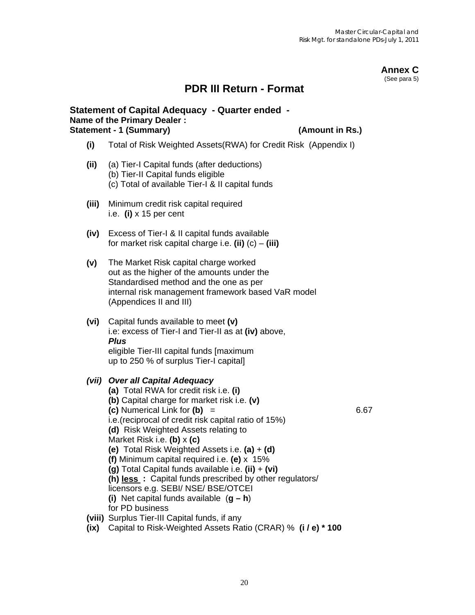#### **Annex C**  (See para 5)

## **PDR III Return - Format**

#### **Statement of Capital Adequacy - Quarter ended - Name of the Primary Dealer : Statement - 1 (Summary) (Amount in Rs.)**

- **(i)** Total of Risk Weighted Assets(RWA) for Credit Risk (Appendix I)
- **(ii)** (a) Tier-I Capital funds (after deductions) (b) Tier-II Capital funds eligible (c) Total of available Tier-I & II capital funds
- **(iii)** Minimum credit risk capital required i.e. **(i)** x 15 per cent
- **(iv)** Excess of Tier-I & II capital funds available for market risk capital charge i.e. **(ii)** (c) – **(iii)**
- **(v)** The Market Risk capital charge worked out as the higher of the amounts under the Standardised method and the one as per internal risk management framework based VaR model (Appendices II and III)
- **(vi)** Capital funds available to meet **(v)** i.e: excess of Tier-I and Tier-II as at **(iv)** above,  *Plus*  eligible Tier-III capital funds [maximum up to 250 % of surplus Tier-I capital]

#### *(vii) Over all Capital Adequacy*

**(a)** Total RWA for credit risk i.e. **(i) (b)** Capital charge for market risk i.e. **(v) (c)** Numerical Link for **(b)** = 6.67 i.e.(reciprocal of credit risk capital ratio of 15%) **(d)** Risk Weighted Assets relating to Market Risk i.e. **(b)** x **(c) (e)** Total Risk Weighted Assets i.e. **(a)** + **(d) (f)** Minimum capital required i.e. **(e)** x 15% **(g)** Total Capital funds available i.e. **(ii)** + **(vi) (h) less :** Capital funds prescribed by other regulators/ licensors e.g. SEBI/ NSE/ BSE/OTCEI **(i)** Net capital funds available (**g – h**) for PD business **(viii)** Surplus Tier-III Capital funds, if any **(ix)** Capital to Risk-Weighted Assets Ratio (CRAR) % **(i / e) \* 100**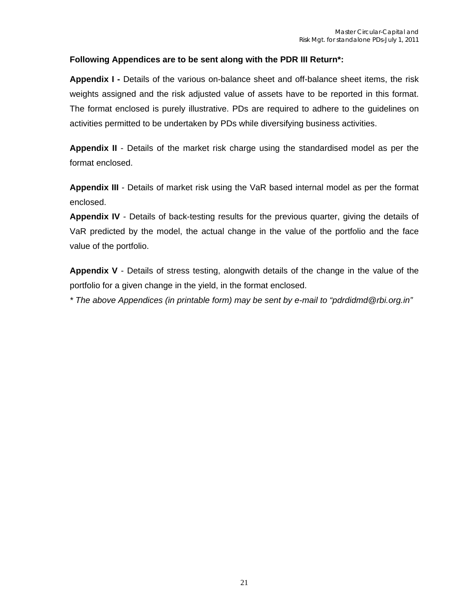#### **Following Appendices are to be sent along with the PDR III Return\*:**

**Appendix I -** Details of the various on-balance sheet and off-balance sheet items, the risk weights assigned and the risk adjusted value of assets have to be reported in this format. The format enclosed is purely illustrative. PDs are required to adhere to the guidelines on activities permitted to be undertaken by PDs while diversifying business activities.

**Appendix II** - Details of the market risk charge using the standardised model as per the format enclosed.

**Appendix III** - Details of market risk using the VaR based internal model as per the format enclosed.

**Appendix IV** - Details of back-testing results for the previous quarter, giving the details of VaR predicted by the model, the actual change in the value of the portfolio and the face value of the portfolio.

**Appendix V** - Details of stress testing, alongwith details of the change in the value of the portfolio for a given change in the yield, in the format enclosed.

*\* The above Appendices (in printable form) may be sent by e-mail to "pdrdidmd@rbi.org.in"*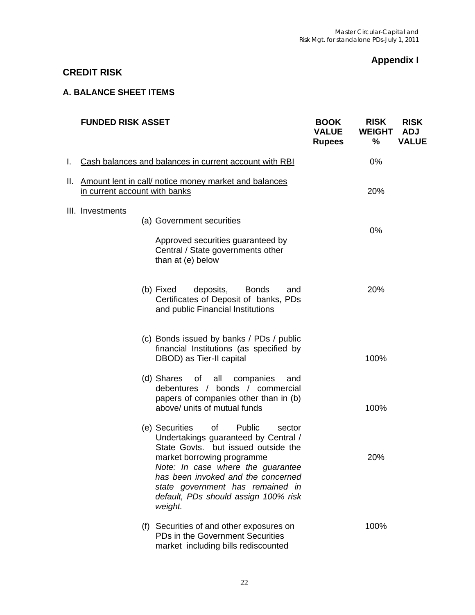## **Appendix I**

## **CREDIT RISK**

#### **A. BALANCE SHEET ITEMS**

|    | <b>FUNDED RISK ASSET</b>      |                                                                                                                                                                                                                                                                                                                         | <b>BOOK</b><br><b>VALUE</b><br><b>Rupees</b> | <b>RISK</b><br><b>WEIGHT</b><br>$\%$ | <b>RISK</b><br><b>ADJ</b><br><b>VALUE</b> |
|----|-------------------------------|-------------------------------------------------------------------------------------------------------------------------------------------------------------------------------------------------------------------------------------------------------------------------------------------------------------------------|----------------------------------------------|--------------------------------------|-------------------------------------------|
| I. |                               | Cash balances and balances in current account with RBI                                                                                                                                                                                                                                                                  |                                              | 0%                                   |                                           |
|    | in current account with banks | II. Amount lent in call/ notice money market and balances                                                                                                                                                                                                                                                               |                                              | 20%                                  |                                           |
|    | III. Investments              | (a) Government securities<br>Approved securities guaranteed by<br>Central / State governments other<br>than at (e) below                                                                                                                                                                                                |                                              | 0%                                   |                                           |
|    |                               | (b) Fixed<br>deposits,<br><b>Bonds</b><br>and<br>Certificates of Deposit of banks, PDs<br>and public Financial Institutions                                                                                                                                                                                             |                                              | 20%                                  |                                           |
|    |                               | (c) Bonds issued by banks / PDs / public<br>financial Institutions (as specified by<br>DBOD) as Tier-II capital                                                                                                                                                                                                         |                                              | 100%                                 |                                           |
|    |                               | (d) Shares<br>of<br>all<br>companies<br>and<br>debentures / bonds / commercial<br>papers of companies other than in (b)<br>above/ units of mutual funds                                                                                                                                                                 |                                              | 100%                                 |                                           |
|    |                               | (e) Securities<br>of<br>Public<br>sector<br>Undertakings guaranteed by Central /<br>State Govts. but issued outside the<br>market borrowing programme<br>Note: In case where the guarantee<br>has been invoked and the concerned<br>state government has remained in<br>default, PDs should assign 100% risk<br>weight. |                                              | 20%                                  |                                           |
|    |                               | (f) Securities of and other exposures on<br>PDs in the Government Securities<br>market including bills rediscounted                                                                                                                                                                                                     |                                              | 100%                                 |                                           |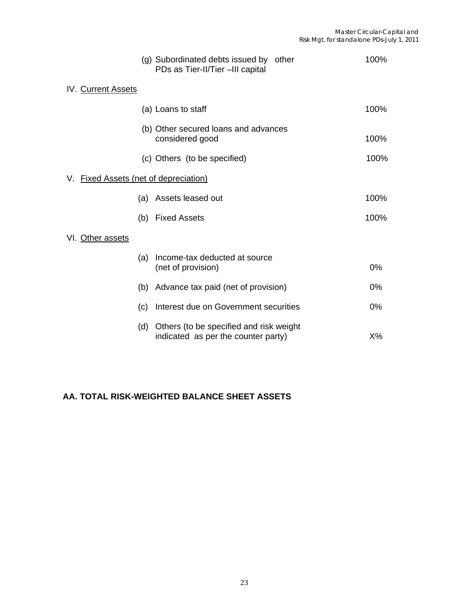|                                       | (g) Subordinated debts issued by other<br>PDs as Tier-II/Tier -III capital     | 100%  |
|---------------------------------------|--------------------------------------------------------------------------------|-------|
| IV. Current Assets                    |                                                                                |       |
|                                       | (a) Loans to staff                                                             | 100%  |
|                                       | (b) Other secured loans and advances<br>considered good                        | 100%  |
|                                       | (c) Others (to be specified)                                                   | 100%  |
| V. Fixed Assets (net of depreciation) |                                                                                |       |
| (a)                                   | Assets leased out                                                              | 100%  |
|                                       | (b) Fixed Assets                                                               | 100%  |
| VI. Other assets                      |                                                                                |       |
| (a)                                   | Income-tax deducted at source<br>(net of provision)                            | 0%    |
| (b)                                   | Advance tax paid (net of provision)                                            | 0%    |
| (c)                                   | Interest due on Government securities                                          | $0\%$ |
| (d)                                   | Others (to be specified and risk weight<br>indicated as per the counter party) | $X\%$ |

## **AA. TOTAL RISK-WEIGHTED BALANCE SHEET ASSETS**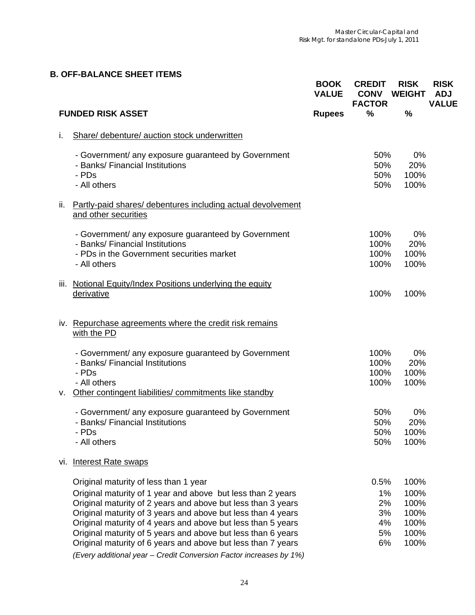# **B. OFF-BALANCE SHEET ITEMS**

|                                                                                                                                                                                                                                                                                                                                                                                                                                      | <b>BOOK</b><br><b>VALUE</b> | <b>CREDIT</b><br><b>CONV</b><br><b>FACTOR</b> | <b>RISK</b><br><b>WEIGHT</b>                         | <b>RISK</b><br><b>ADJ</b><br><b>VALUE</b> |
|--------------------------------------------------------------------------------------------------------------------------------------------------------------------------------------------------------------------------------------------------------------------------------------------------------------------------------------------------------------------------------------------------------------------------------------|-----------------------------|-----------------------------------------------|------------------------------------------------------|-------------------------------------------|
| <b>FUNDED RISK ASSET</b>                                                                                                                                                                                                                                                                                                                                                                                                             | <b>Rupees</b>               | %                                             | $\frac{9}{6}$                                        |                                           |
| Share/ debenture/ auction stock underwritten<br>i.                                                                                                                                                                                                                                                                                                                                                                                   |                             |                                               |                                                      |                                           |
| - Government/ any exposure guaranteed by Government<br>- Banks/ Financial Institutions<br>- PDs<br>- All others                                                                                                                                                                                                                                                                                                                      |                             | 50%<br>50%<br>50%<br>50%                      | 0%<br>20%<br>100%<br>100%                            |                                           |
| Partly-paid shares/ debentures including actual devolvement<br>ii.<br>and other securities                                                                                                                                                                                                                                                                                                                                           |                             |                                               |                                                      |                                           |
| - Government/ any exposure guaranteed by Government<br>- Banks/ Financial Institutions<br>- PDs in the Government securities market<br>- All others                                                                                                                                                                                                                                                                                  |                             | 100%<br>100%<br>100%<br>100%                  | 0%<br>20%<br>100%<br>100%                            |                                           |
| Notional Equity/Index Positions underlying the equity<br>iii.<br>derivative                                                                                                                                                                                                                                                                                                                                                          |                             | 100%                                          | 100%                                                 |                                           |
| iv. Repurchase agreements where the credit risk remains<br>with the PD                                                                                                                                                                                                                                                                                                                                                               |                             |                                               |                                                      |                                           |
| - Government/ any exposure guaranteed by Government<br>- Banks/ Financial Institutions<br>- PDs<br>- All others<br>Other contingent liabilities/ commitments like standby<br>۷.                                                                                                                                                                                                                                                      |                             | 100%<br>100%<br>100%<br>100%                  | 0%<br>20%<br>100%<br>100%                            |                                           |
| - Government/ any exposure guaranteed by Government<br>- Banks/ Financial Institutions<br>- PDs<br>- All others                                                                                                                                                                                                                                                                                                                      |                             | 50%<br>50%<br>50%<br>50%                      | 0%<br>20%<br>100%<br>100%                            |                                           |
| vi. Interest Rate swaps                                                                                                                                                                                                                                                                                                                                                                                                              |                             |                                               |                                                      |                                           |
| Original maturity of less than 1 year<br>Original maturity of 1 year and above but less than 2 years<br>Original maturity of 2 years and above but less than 3 years<br>Original maturity of 3 years and above but less than 4 years<br>Original maturity of 4 years and above but less than 5 years<br>Original maturity of 5 years and above but less than 6 years<br>Original maturity of 6 years and above but less than 7 years |                             | 0.5%<br>$1\%$<br>2%<br>3%<br>4%<br>5%<br>6%   | 100%<br>100%<br>100%<br>100%<br>100%<br>100%<br>100% |                                           |
| (Every additional year - Credit Conversion Factor increases by 1%)                                                                                                                                                                                                                                                                                                                                                                   |                             |                                               |                                                      |                                           |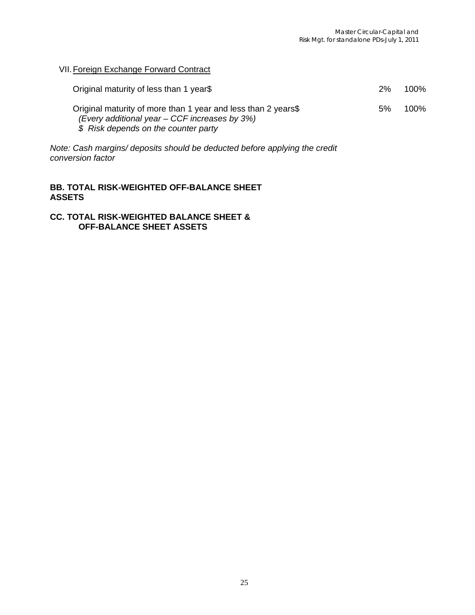VII. Foreign Exchange Forward Contract

| Original maturity of less than 1 year\$                                                                                                                  | 2% | 100% |
|----------------------------------------------------------------------------------------------------------------------------------------------------------|----|------|
| Original maturity of more than 1 year and less than 2 years\$<br>(Every additional year $-$ CCF increases by 3%)<br>\$ Risk depends on the counter party | 5% | 100% |

*Note: Cash margins/ deposits should be deducted before applying the credit conversion factor* 

#### **BB. TOTAL RISK-WEIGHTED OFF-BALANCE SHEET ASSETS**

#### **CC. TOTAL RISK-WEIGHTED BALANCE SHEET & OFF-BALANCE SHEET ASSETS**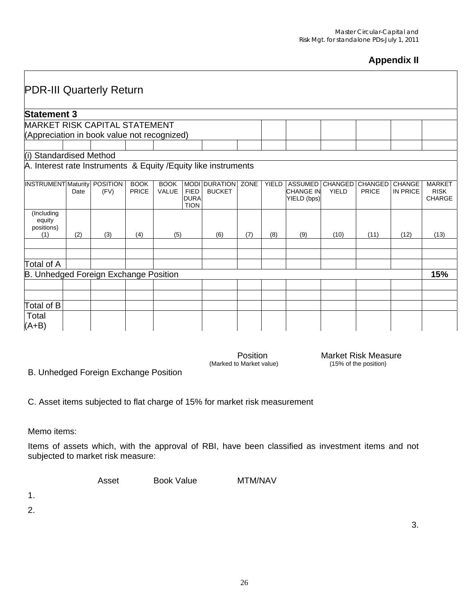## **Appendix II**

| <b>PDR-III Quarterly Return</b>                                 |                    |                         |                             |                             |                                           |                                       |      |              |                                                   |                                |                         |                           |                                               |
|-----------------------------------------------------------------|--------------------|-------------------------|-----------------------------|-----------------------------|-------------------------------------------|---------------------------------------|------|--------------|---------------------------------------------------|--------------------------------|-------------------------|---------------------------|-----------------------------------------------|
|                                                                 | <b>Statement 3</b> |                         |                             |                             |                                           |                                       |      |              |                                                   |                                |                         |                           |                                               |
| <b>MARKET RISK CAPITAL STATEMENT</b>                            |                    |                         |                             |                             |                                           |                                       |      |              |                                                   |                                |                         |                           |                                               |
| (Appreciation in book value not recognized)                     |                    |                         |                             |                             |                                           |                                       |      |              |                                                   |                                |                         |                           |                                               |
|                                                                 |                    |                         |                             |                             |                                           |                                       |      |              |                                                   |                                |                         |                           |                                               |
| (i) Standardised Method                                         |                    |                         |                             |                             |                                           |                                       |      |              |                                                   |                                |                         |                           |                                               |
| A. Interest rate Instruments & Equity / Equity like instruments |                    |                         |                             |                             |                                           |                                       |      |              |                                                   |                                |                         |                           |                                               |
| <b>INSTRUMENT</b> Maturity                                      | Date               | <b>POSITION</b><br>(FV) | <b>BOOK</b><br><b>PRICE</b> | <b>BOOK</b><br><b>VALUE</b> | <b>FIED</b><br><b>DURA</b><br><b>TION</b> | <b>MODI DURATION</b><br><b>BUCKET</b> | ZONE | <b>YIELD</b> | <b>ASSUMED</b><br><b>CHANGE IN</b><br>YIELD (bps) | <b>CHANGED</b><br><b>YIELD</b> | <b>CHANGED</b><br>PRICE | <b>CHANGE</b><br>IN PRICE | <b>MARKET</b><br><b>RISK</b><br><b>CHARGE</b> |
| (Including<br>equity<br>positions)<br>(1)                       | (2)                | (3)                     | (4)                         | (5)                         |                                           | (6)                                   | (7)  | (8)          | (9)                                               | (10)                           | (11)                    | (12)                      | (13)                                          |
|                                                                 |                    |                         |                             |                             |                                           |                                       |      |              |                                                   |                                |                         |                           |                                               |
|                                                                 |                    |                         |                             |                             |                                           |                                       |      |              |                                                   |                                |                         |                           |                                               |
| Total of A                                                      |                    |                         |                             |                             |                                           |                                       |      |              |                                                   |                                |                         |                           |                                               |
| B. Unhedged Foreign Exchange Position                           |                    |                         |                             |                             |                                           |                                       |      |              |                                                   |                                |                         |                           | 15%                                           |
|                                                                 |                    |                         |                             |                             |                                           |                                       |      |              |                                                   |                                |                         |                           |                                               |
|                                                                 |                    |                         |                             |                             |                                           |                                       |      |              |                                                   |                                |                         |                           |                                               |
| Total of B                                                      |                    |                         |                             |                             |                                           |                                       |      |              |                                                   |                                |                         |                           |                                               |
| Total<br>$(A+B)$                                                |                    |                         |                             |                             |                                           |                                       |      |              |                                                   |                                |                         |                           |                                               |

Position Market Risk Measure<br>(Marked to Market value) (15% of the position)

B. Unhedged Foreign Exchange Position

C. Asset items subjected to flat charge of 15% for market risk measurement

Memo items:

Items of assets which, with the approval of RBI, have been classified as investment items and not subjected to market risk measure:

| Asset | <b>Book Value</b> | MTM/NAV |
|-------|-------------------|---------|
|       |                   |         |

1.

2.

3.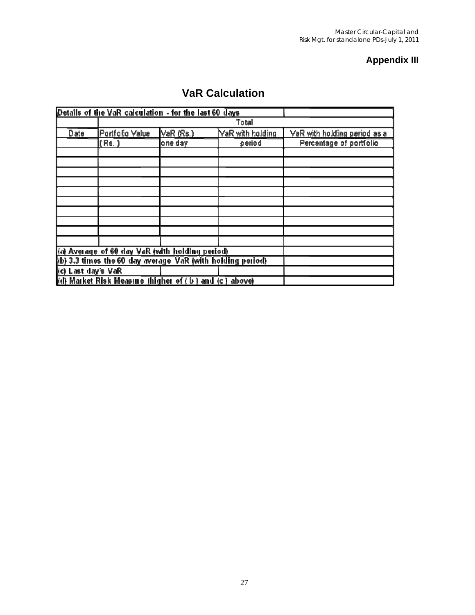## **Appendix III**

# **VaR Calculation**

|                    | Details of the VaR calculation - for the last 60 days      |           |                  |                              |
|--------------------|------------------------------------------------------------|-----------|------------------|------------------------------|
|                    |                                                            |           | Total            |                              |
| Date               | Portfolio Value                                            | VaR (Rs.) | VaR with holding | VaR with holding period as a |
|                    | (Rs.)                                                      | one day   | period           | Percentage of portfolio      |
|                    |                                                            |           |                  |                              |
|                    |                                                            |           |                  |                              |
|                    |                                                            |           |                  |                              |
|                    |                                                            |           |                  |                              |
|                    |                                                            |           |                  |                              |
|                    |                                                            |           |                  |                              |
|                    |                                                            |           |                  |                              |
|                    |                                                            |           |                  |                              |
|                    |                                                            |           |                  |                              |
|                    |                                                            |           |                  |                              |
|                    | (a) Average of 60 day VaR (with holding period)            |           |                  |                              |
|                    | (b) 3.3 times the 60 day average VaR (with holding period) |           |                  |                              |
| (c) Last day's VaR |                                                            |           |                  |                              |
|                    | (d) Market Risk Measure (higher of (b) and (c) above)      |           |                  |                              |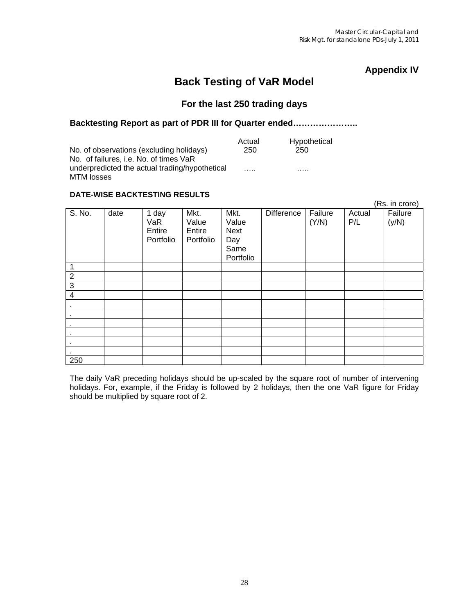## **Appendix IV**

## **Back Testing of VaR Model**

## **For the last 250 trading days**

#### **Backtesting Report as part of PDR III for Quarter ended…………………..**

|                                                | Actual | Hypothetical |
|------------------------------------------------|--------|--------------|
| No. of observations (excluding holidays)       | 250    | 250          |
| No. of failures, i.e. No. of times VaR         |        |              |
| underpredicted the actual trading/hypothetical | .      | .            |
| MTM losses                                     |        |              |

#### **DATE-WISE BACKTESTING RESULTS**

|                |      |                                     |                                      |                                                          |                   |                  |               | (Rs. in crore)   |
|----------------|------|-------------------------------------|--------------------------------------|----------------------------------------------------------|-------------------|------------------|---------------|------------------|
| S. No.         | date | 1 day<br>VaR<br>Entire<br>Portfolio | Mkt.<br>Value<br>Entire<br>Portfolio | Mkt.<br>Value<br><b>Next</b><br>Day<br>Same<br>Portfolio | <b>Difference</b> | Failure<br>(Y/N) | Actual<br>P/L | Failure<br>(y/N) |
| 1              |      |                                     |                                      |                                                          |                   |                  |               |                  |
| $\overline{c}$ |      |                                     |                                      |                                                          |                   |                  |               |                  |
| $\overline{3}$ |      |                                     |                                      |                                                          |                   |                  |               |                  |
| 4              |      |                                     |                                      |                                                          |                   |                  |               |                  |
| $\sim$         |      |                                     |                                      |                                                          |                   |                  |               |                  |
| ٠              |      |                                     |                                      |                                                          |                   |                  |               |                  |
| ٠              |      |                                     |                                      |                                                          |                   |                  |               |                  |
| $\bullet$      |      |                                     |                                      |                                                          |                   |                  |               |                  |
| ٠              |      |                                     |                                      |                                                          |                   |                  |               |                  |
|                |      |                                     |                                      |                                                          |                   |                  |               |                  |
| 250            |      |                                     |                                      |                                                          |                   |                  |               |                  |

The daily VaR preceding holidays should be up-scaled by the square root of number of intervening holidays. For, example, if the Friday is followed by 2 holidays, then the one VaR figure for Friday should be multiplied by square root of 2.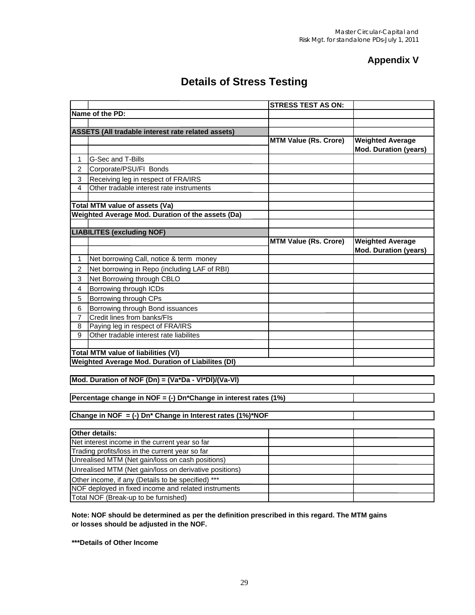## **Appendix V**

# **Details of Stress Testing**

|                                                        |                                                                       | <b>STRESS TEST AS ON:</b>    |                                                         |  |  |  |  |
|--------------------------------------------------------|-----------------------------------------------------------------------|------------------------------|---------------------------------------------------------|--|--|--|--|
|                                                        | Name of the PD:                                                       |                              |                                                         |  |  |  |  |
|                                                        |                                                                       |                              |                                                         |  |  |  |  |
|                                                        | ASSETS (All tradable interest rate related assets)                    |                              |                                                         |  |  |  |  |
|                                                        |                                                                       | <b>MTM Value (Rs. Crore)</b> | <b>Weighted Average</b>                                 |  |  |  |  |
|                                                        |                                                                       |                              | <b>Mod. Duration (years)</b>                            |  |  |  |  |
| 1                                                      | G-Sec and T-Bills                                                     |                              |                                                         |  |  |  |  |
| 2                                                      | Corporate/PSU/FI Bonds                                                |                              |                                                         |  |  |  |  |
| 3                                                      | Receiving leg in respect of FRA/IRS                                   |                              |                                                         |  |  |  |  |
| $\overline{\mathbf{4}}$                                | Other tradable interest rate instruments                              |                              |                                                         |  |  |  |  |
|                                                        |                                                                       |                              |                                                         |  |  |  |  |
|                                                        | Total MTM value of assets (Va)                                        |                              |                                                         |  |  |  |  |
|                                                        | Weighted Average Mod. Duration of the assets (Da)                     |                              |                                                         |  |  |  |  |
|                                                        |                                                                       |                              |                                                         |  |  |  |  |
|                                                        | <b>LIABILITES (excluding NOF)</b>                                     |                              |                                                         |  |  |  |  |
|                                                        |                                                                       | <b>MTM Value (Rs. Crore)</b> | <b>Weighted Average</b><br><b>Mod. Duration (years)</b> |  |  |  |  |
| 1                                                      | Net borrowing Call, notice & term money                               |                              |                                                         |  |  |  |  |
| $\overline{c}$                                         | Net borrowing in Repo (including LAF of RBI)                          |                              |                                                         |  |  |  |  |
| 3                                                      | Net Borrowing through CBLO                                            |                              |                                                         |  |  |  |  |
| $\overline{4}$                                         | Borrowing through ICDs                                                |                              |                                                         |  |  |  |  |
| 5                                                      | Borrowing through CPs                                                 |                              |                                                         |  |  |  |  |
| 6                                                      | Borrowing through Bond issuances                                      |                              |                                                         |  |  |  |  |
| 7                                                      | Credit lines from banks/FIs                                           |                              |                                                         |  |  |  |  |
| 8                                                      | Paying leg in respect of FRA/IRS                                      |                              |                                                         |  |  |  |  |
| 9                                                      | Other tradable interest rate liabilites                               |                              |                                                         |  |  |  |  |
|                                                        |                                                                       |                              |                                                         |  |  |  |  |
|                                                        | <b>Total MTM value of liabilities (VI)</b>                            |                              |                                                         |  |  |  |  |
|                                                        | Weighted Average Mod. Duration of Liabilites (DI)                     |                              |                                                         |  |  |  |  |
|                                                        |                                                                       |                              |                                                         |  |  |  |  |
|                                                        | Mod. Duration of NOF (Dn) = (Va*Da - VI*DI)/(Va-VI)                   |                              |                                                         |  |  |  |  |
|                                                        |                                                                       |                              |                                                         |  |  |  |  |
|                                                        | Percentage change in NOF = (-) Dn*Change in interest rates (1%)       |                              |                                                         |  |  |  |  |
|                                                        |                                                                       |                              |                                                         |  |  |  |  |
|                                                        | Change in NOF = (-) Dn <sup>*</sup> Change in Interest rates (1%)*NOF |                              |                                                         |  |  |  |  |
|                                                        | Other details:                                                        |                              |                                                         |  |  |  |  |
|                                                        | Net interest income in the current year so far                        |                              |                                                         |  |  |  |  |
|                                                        | Trading profits/loss in the current year so far                       |                              |                                                         |  |  |  |  |
|                                                        | Unrealised MTM (Net gain/loss on cash positions)                      |                              |                                                         |  |  |  |  |
| Unrealised MTM (Net gain/loss on derivative positions) |                                                                       |                              |                                                         |  |  |  |  |
|                                                        | Other income, if any (Details to be specified) ***                    |                              |                                                         |  |  |  |  |
|                                                        | NOF deployed in fixed income and related instruments                  |                              |                                                         |  |  |  |  |
|                                                        | Total NOF (Break-up to be furnished)                                  |                              |                                                         |  |  |  |  |
|                                                        |                                                                       |                              |                                                         |  |  |  |  |

**Note: NOF should be determined as per the definition prescribed in this regard. The MTM gains or losses should be adjusted in the NOF.**

**\*\*\*Details of Other Income**